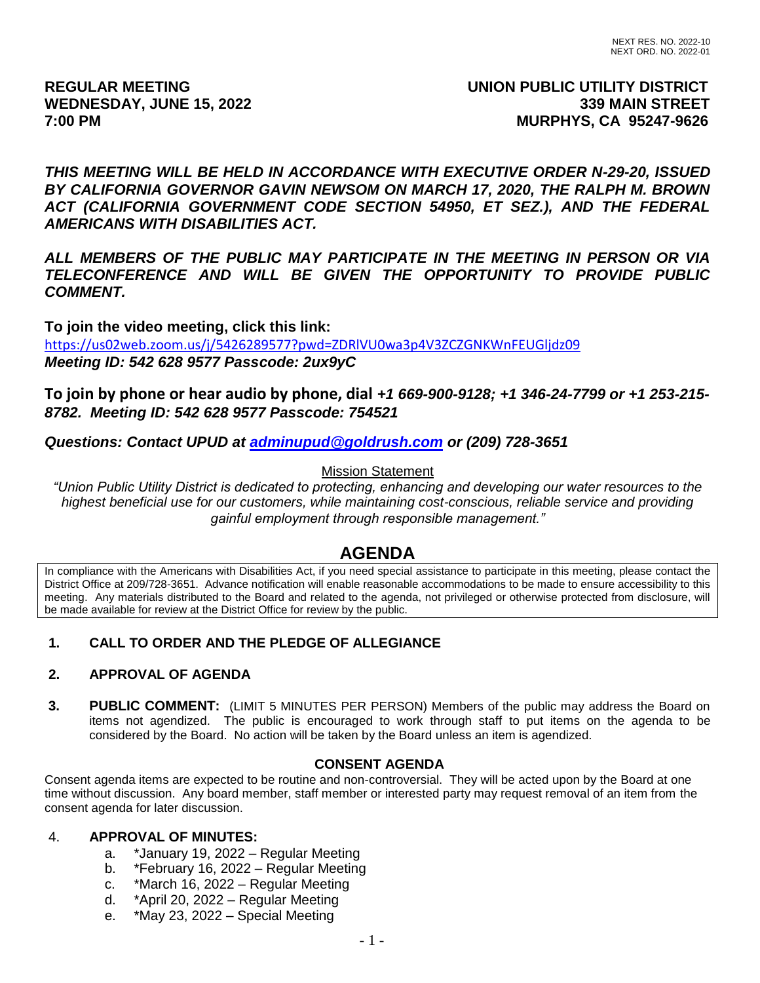# **REGULAR MEETING UNION PUBLIC UTILITY DISTRICT** WEDNESDAY, JUNE 15, 2022 **339 MAIN STREET 7:00 PM MURPHYS, CA 95247-9626**

*THIS MEETING WILL BE HELD IN ACCORDANCE WITH EXECUTIVE ORDER N-29-20, ISSUED BY CALIFORNIA GOVERNOR GAVIN NEWSOM ON MARCH 17, 2020, THE RALPH M. BROWN ACT (CALIFORNIA GOVERNMENT CODE SECTION 54950, ET SEZ.), AND THE FEDERAL AMERICANS WITH DISABILITIES ACT.*

*ALL MEMBERS OF THE PUBLIC MAY PARTICIPATE IN THE MEETING IN PERSON OR VIA TELECONFERENCE AND WILL BE GIVEN THE OPPORTUNITY TO PROVIDE PUBLIC COMMENT.*

**To join the video meeting, click this link:** <https://us02web.zoom.us/j/5426289577?pwd=ZDRlVU0wa3p4V3ZCZGNKWnFEUGljdz09> *Meeting ID: 542 628 9577 Passcode: 2ux9yC*

**To join by phone or hear audio by phone, dial** *+1 669-900-9128; +1 346-24-7799 or +1 253-215- 8782. Meeting ID: 542 628 9577 Passcode: 754521*

*Questions: Contact UPUD at [adminupud@goldrush.com](mailto:adminupud@goldrush.com) or (209) 728-3651* 

### Mission Statement

*"Union Public Utility District is dedicated to protecting, enhancing and developing our water resources to the highest beneficial use for our customers, while maintaining cost-conscious, reliable service and providing gainful employment through responsible management."*

# **AGENDA**

In compliance with the Americans with Disabilities Act, if you need special assistance to participate in this meeting, please contact the District Office at 209/728-3651. Advance notification will enable reasonable accommodations to be made to ensure accessibility to this meeting. Any materials distributed to the Board and related to the agenda, not privileged or otherwise protected from disclosure, will be made available for review at the District Office for review by the public.

# **1. CALL TO ORDER AND THE PLEDGE OF ALLEGIANCE**

### **2. APPROVAL OF AGENDA**

**3. PUBLIC COMMENT:** (LIMIT 5 MINUTES PER PERSON) Members of the public may address the Board on items not agendized. The public is encouraged to work through staff to put items on the agenda to be considered by the Board. No action will be taken by the Board unless an item is agendized.

### **CONSENT AGENDA**

Consent agenda items are expected to be routine and non-controversial. They will be acted upon by the Board at one time without discussion. Any board member, staff member or interested party may request removal of an item from the consent agenda for later discussion.

### 4. **APPROVAL OF MINUTES:**

- a. \*January 19, 2022 Regular Meeting
- b. \*February 16, 2022 Regular Meeting
- c. \*March 16, 2022 Regular Meeting
- d. \*April 20, 2022 Regular Meeting
- e. \*May 23, 2022 Special Meeting